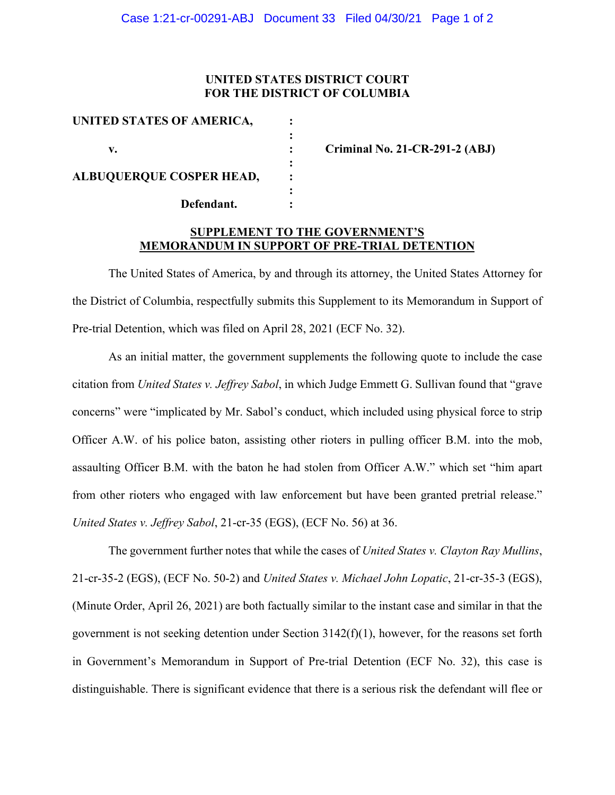# **UNITED STATES DISTRICT COURT FOR THE DISTRICT OF COLUMBIA**

| UNITED STATES OF AMERICA,                     |  |
|-----------------------------------------------|--|
|                                               |  |
| v.                                            |  |
|                                               |  |
| <b>ALBUQUERQUE COSPER HEAD,</b><br>Defendant. |  |
|                                               |  |
|                                               |  |
|                                               |  |

**v. : Criminal No. 21-CR-291-2 (ABJ)**

# **SUPPLEMENT TO THE GOVERNMENT'S MEMORANDUM IN SUPPORT OF PRE-TRIAL DETENTION**

The United States of America, by and through its attorney, the United States Attorney for the District of Columbia, respectfully submits this Supplement to its Memorandum in Support of Pre-trial Detention, which was filed on April 28, 2021 (ECF No. 32).

As an initial matter, the government supplements the following quote to include the case citation from *United States v. Jeffrey Sabol*, in which Judge Emmett G. Sullivan found that "grave concerns" were "implicated by Mr. Sabol's conduct, which included using physical force to strip Officer A.W. of his police baton, assisting other rioters in pulling officer B.M. into the mob, assaulting Officer B.M. with the baton he had stolen from Officer A.W." which set "him apart from other rioters who engaged with law enforcement but have been granted pretrial release." *United States v. Jeffrey Sabol*, 21-cr-35 (EGS), (ECF No. 56) at 36.

The government further notes that while the cases of *United States v. Clayton Ray Mullins*, 21-cr-35-2 (EGS), (ECF No. 50-2) and *United States v. Michael John Lopatic*, 21-cr-35-3 (EGS), (Minute Order, April 26, 2021) are both factually similar to the instant case and similar in that the government is not seeking detention under Section  $3142(f)(1)$ , however, for the reasons set forth in Government's Memorandum in Support of Pre-trial Detention (ECF No. 32), this case is distinguishable. There is significant evidence that there is a serious risk the defendant will flee or